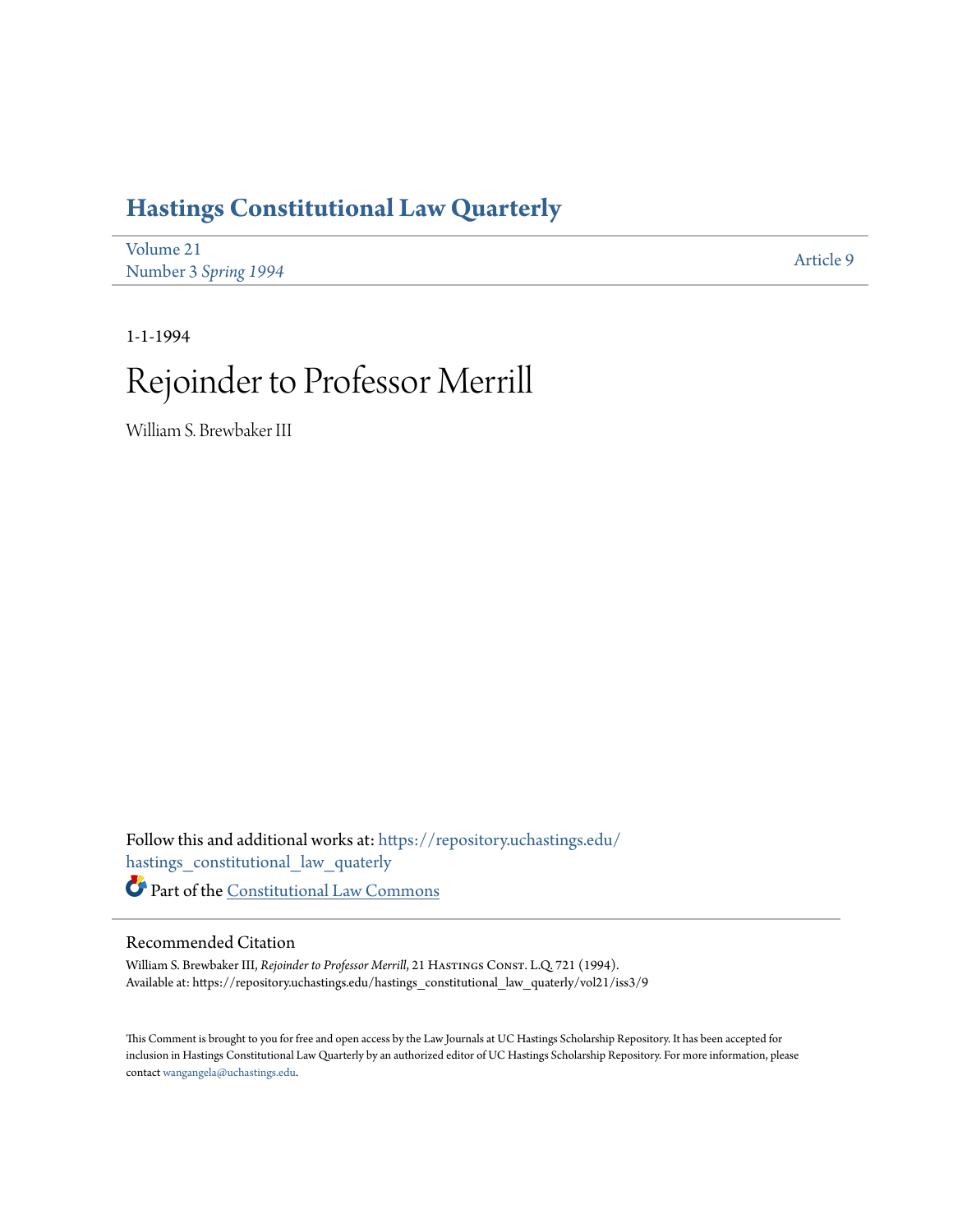## **[Hastings Constitutional Law Quarterly](https://repository.uchastings.edu/hastings_constitutional_law_quaterly?utm_source=repository.uchastings.edu%2Fhastings_constitutional_law_quaterly%2Fvol21%2Fiss3%2F9&utm_medium=PDF&utm_campaign=PDFCoverPages)**

| Volume 21            | Article 9 |
|----------------------|-----------|
| Number 3 Spring 1994 |           |

1-1-1994

# Rejoinder to Professor Merrill

William S. Brewbaker III

Follow this and additional works at: [https://repository.uchastings.edu/](https://repository.uchastings.edu/hastings_constitutional_law_quaterly?utm_source=repository.uchastings.edu%2Fhastings_constitutional_law_quaterly%2Fvol21%2Fiss3%2F9&utm_medium=PDF&utm_campaign=PDFCoverPages) [hastings\\_constitutional\\_law\\_quaterly](https://repository.uchastings.edu/hastings_constitutional_law_quaterly?utm_source=repository.uchastings.edu%2Fhastings_constitutional_law_quaterly%2Fvol21%2Fiss3%2F9&utm_medium=PDF&utm_campaign=PDFCoverPages) Part of the [Constitutional Law Commons](http://network.bepress.com/hgg/discipline/589?utm_source=repository.uchastings.edu%2Fhastings_constitutional_law_quaterly%2Fvol21%2Fiss3%2F9&utm_medium=PDF&utm_campaign=PDFCoverPages)

#### Recommended Citation

William S. Brewbaker III, *Rejoinder to Professor Merrill*, 21 HASTINGS CONST. L.Q. 721 (1994). Available at: https://repository.uchastings.edu/hastings\_constitutional\_law\_quaterly/vol21/iss3/9

This Comment is brought to you for free and open access by the Law Journals at UC Hastings Scholarship Repository. It has been accepted for inclusion in Hastings Constitutional Law Quarterly by an authorized editor of UC Hastings Scholarship Repository. For more information, please contact [wangangela@uchastings.edu](mailto:wangangela@uchastings.edu).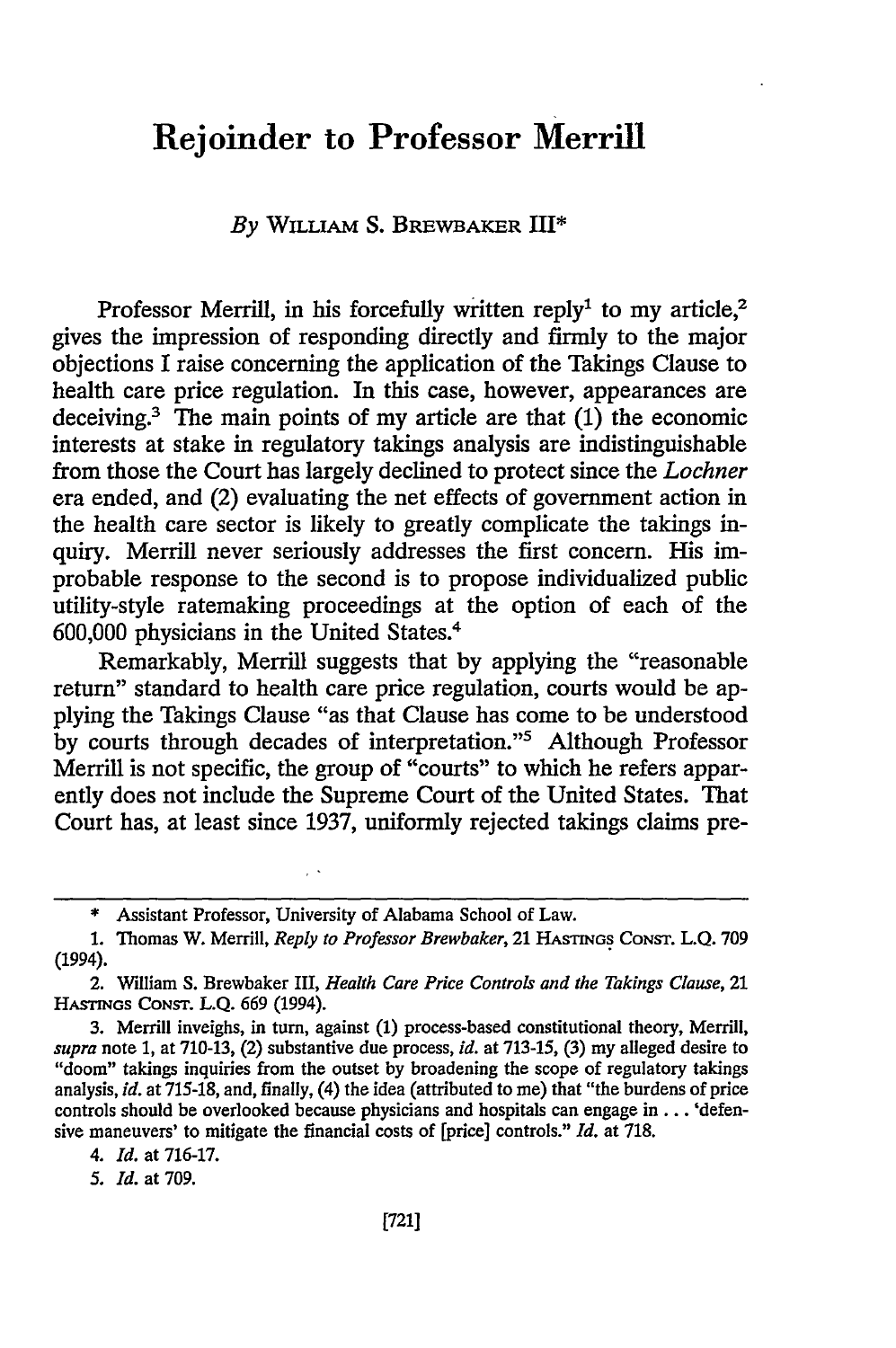### Rejoinder to Professor Merrill

#### *By* **WILLIAM** S. BREWBAKER III\*

Professor Merrill, in his forcefully written reply<sup>1</sup> to my article,<sup>2</sup> gives the impression of responding directly and firmly to the major objections I raise concerning the application of the Takings Clause to health care price regulation. In this case, however, appearances are deceiving.<sup>3</sup> The main points of my article are that  $(1)$  the economic interests at stake in regulatory takings analysis are indistinguishable from those the Court has largely declined to protect since the *Lochner* era ended, and (2) evaluating the net effects of government action in the health care sector is likely to greatly complicate the takings inquiry. Merrill never seriously addresses the first concern. His improbable response to the second is to propose individualized public utility-style ratemaking proceedings at the option of each of the 600,000 physicians in the United States.<sup>4</sup>

Remarkably, Merrill suggests that by applying the "reasonable return" standard to health care price regulation, courts would be applying the Takings Clause "as that Clause has come to be understood by courts through decades of interpretation."<sup>5</sup> Although Professor Merrill is not specific, the group of "courts" to which he refers apparently does not include the Supreme Court of the United States. That Court has, at least since 1937, uniformly rejected takings claims pre-

*5. 1d.* at 709.

<sup>\*</sup> Assistant Professor, University of Alabama School of Law.

<sup>1.</sup> Thomas W. Merrill, *Reply to Professor Brewbaker,* 21 HASTINGS CONsT. L.Q. 709 (1994).

<sup>2.</sup> William S. Brewbaker III, *Health Care Price Controls and the Takings Clause,* 21 HAsTrnGs CONST. L.Q. 669 (1994).

<sup>3.</sup> Merrill inveighs, in turn, against (1) process-based constitutional theory, Merrill, *supra* note 1, at 710-13, (2) substantive due process, *id.* at 713-15, (3) my alleged desire to "doom" takings inquiries from the outset by broadening the scope of regulatory takings analysis, *id.* at 715-18, and, finally, (4) the idea (attributed to me) that "the burdens of price controls should be overlooked because physicians and hospitals can engage in ... 'defensive maneuvers' to mitigate the financial costs of [price] controls." *Id.* at 718.

*<sup>4.</sup> Id.* at 716-17.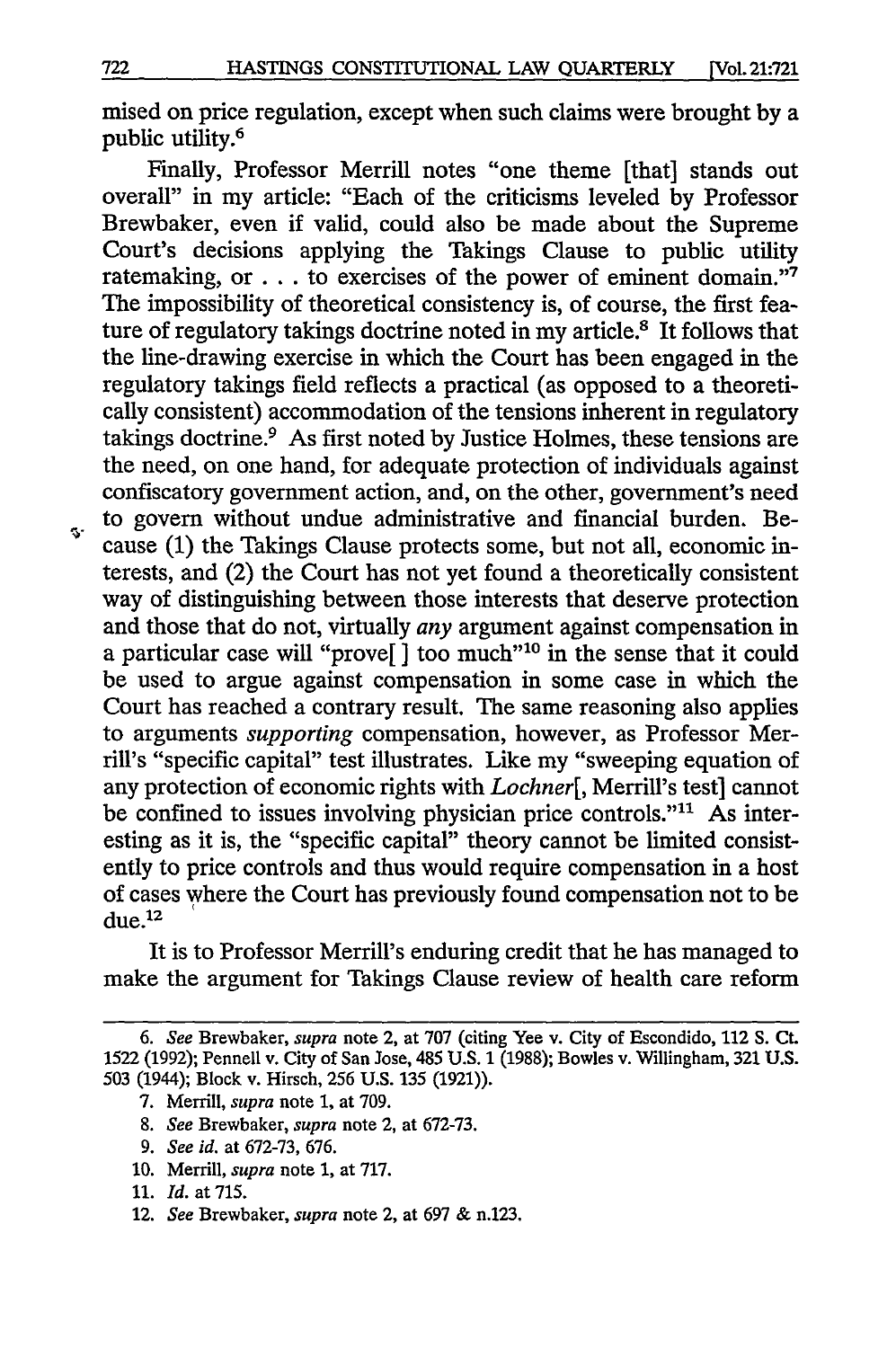mised on price regulation, except when such claims were brought by a public utility.<sup>6</sup>

Finally, Professor Merrill notes "one theme [that] stands out overall" in my article: "Each of the criticisms leveled by Professor Brewbaker, even if valid, could also be made about the Supreme Court's decisions applying the Takings Clause to public utility ratemaking, or  $\dots$  to exercises of the power of eminent domain."<sup>7</sup> The impossibility of theoretical consistency is, of course, the first feature of regulatory takings doctrine noted in my article.<sup>8</sup> It follows that the line-drawing exercise in which the Court has been engaged in the regulatory takings field reflects a practical (as opposed to a theoretically consistent) accommodation of the tensions inherent in regulatory takings doctrine.<sup>9</sup> As first noted by Justice Holmes, these tensions are the need, on one hand, for adequate protection of individuals against confiscatory government action, and, on the other, government's need to govern without undue administrative and financial burden. Because **(1)** the Takings Clause protects some, but not all, economic interests, and (2) the Court has not yet found a theoretically consistent way of distinguishing between those interests that deserve protection and those that do not, virtually *any* argument against compensation in a particular case will "prove[] too much"<sup>10</sup> in the sense that it could be used to argue against compensation in some case in which the Court has reached a contrary result. The same reasoning also applies to arguments *supporting* compensation, however, as Professor Merrill's "specific capital" test illustrates. Like my "sweeping equation of any protection of economic rights with *Lochner[,* Merrill's test] cannot be confined to issues involving physician price controls."<sup>11</sup> As interesting as it is, the "specific capital" theory cannot be limited consistently to price controls and thus would require compensation in a host of cases where the Court has previously found compensation not to be  $due.<sup>12</sup>$ 

It is to Professor Merrill's enduring credit that he has managed to make the argument for Takings Clause review of health care reform

- **8.** *See* Brewbaker, *supra* note 2, at 672-73.
- 9. *See id.* at 672-73, 676.
- 10. Merrill, *supra* note 1, at 717.

12. *See* Brewbaker, *supra* note 2, at 697 & n.123.

s.

*<sup>6.</sup> See* Brewbaker, *supra* note 2, at 707 (citing Yee v. City of Escondido, 112 **S.** Ct. 1522 (1992); Pennell v. City of San Jose, 485 U.S. 1 (1988); Bowles v. Willingham, **321** U.S. 503 (1944); Block v. Hirsch, 256 U.S. 135 (1921)).

<sup>7.</sup> Merrill, *supra* note 1, at 709.

<sup>11.</sup> *Id.* at 715.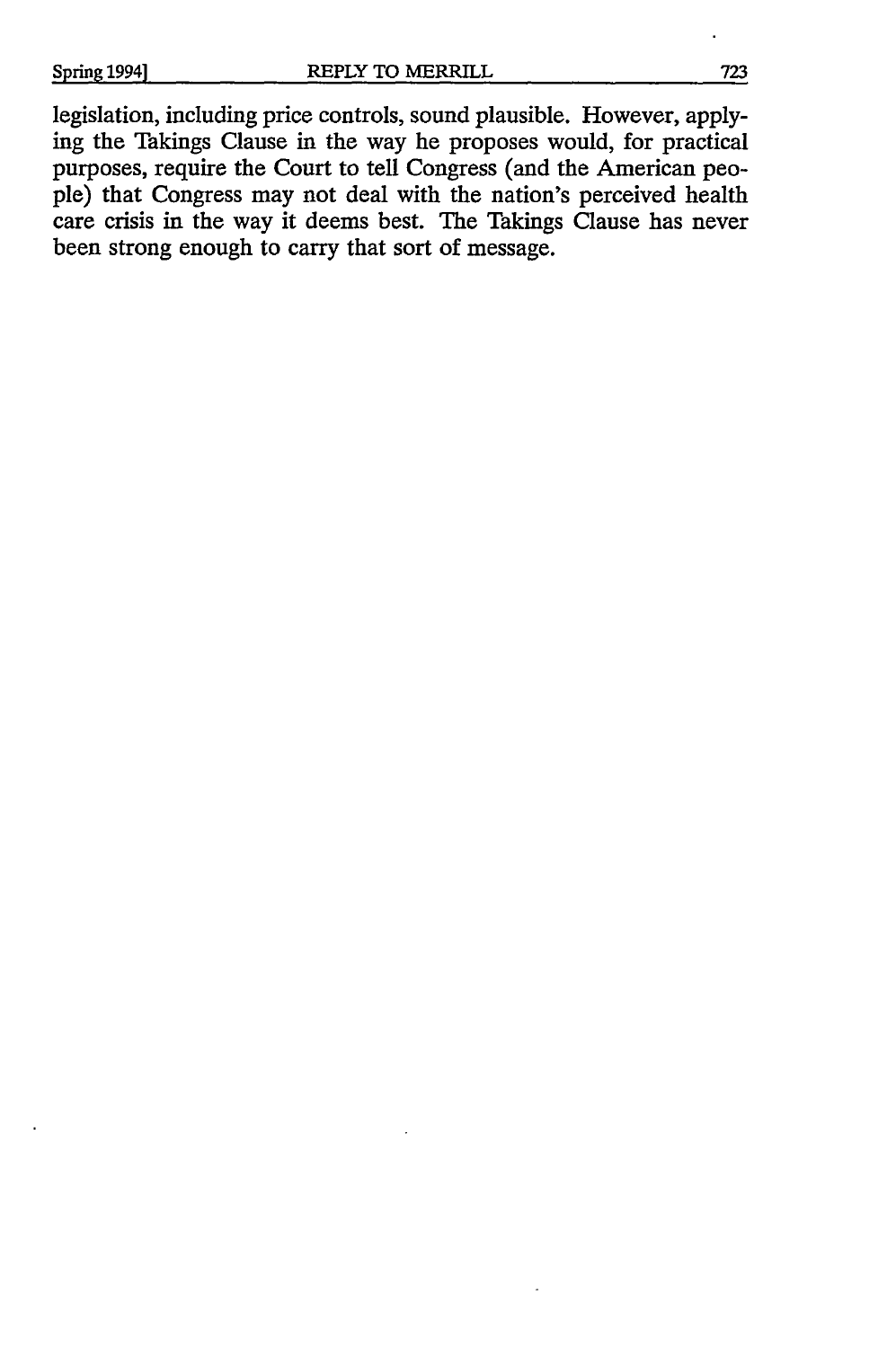legislation, including price controls, sound plausible. However, applying the Takings Clause in the way he proposes would, for practical purposes, require the Court to tell Congress (and the American people) that Congress may not deal with the nation's perceived health care crisis in the way it deems best. The Takings Clause has never been strong enough to carry that sort of message.